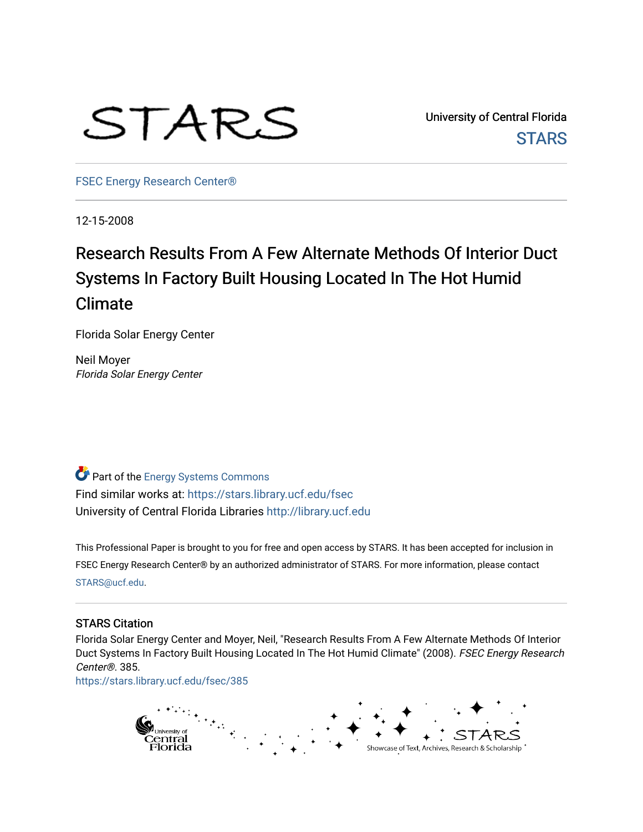

University of Central Florida **STARS** 

[FSEC Energy Research Center®](https://stars.library.ucf.edu/fsec) 

12-15-2008

## Research Results From A Few Alternate Methods Of Interior Duct Systems In Factory Built Housing Located In The Hot Humid Climate

Florida Solar Energy Center

Neil Moyer Florida Solar Energy Center

Part of the [Energy Systems Commons](http://network.bepress.com/hgg/discipline/299?utm_source=stars.library.ucf.edu%2Ffsec%2F385&utm_medium=PDF&utm_campaign=PDFCoverPages)  Find similar works at: <https://stars.library.ucf.edu/fsec> University of Central Florida Libraries [http://library.ucf.edu](http://library.ucf.edu/) 

This Professional Paper is brought to you for free and open access by STARS. It has been accepted for inclusion in FSEC Energy Research Center® by an authorized administrator of STARS. For more information, please contact [STARS@ucf.edu](mailto:STARS@ucf.edu).

#### STARS Citation

Florida Solar Energy Center and Moyer, Neil, "Research Results From A Few Alternate Methods Of Interior Duct Systems In Factory Built Housing Located In The Hot Humid Climate" (2008). FSEC Energy Research Center®. 385.

[https://stars.library.ucf.edu/fsec/385](https://stars.library.ucf.edu/fsec/385?utm_source=stars.library.ucf.edu%2Ffsec%2F385&utm_medium=PDF&utm_campaign=PDFCoverPages)

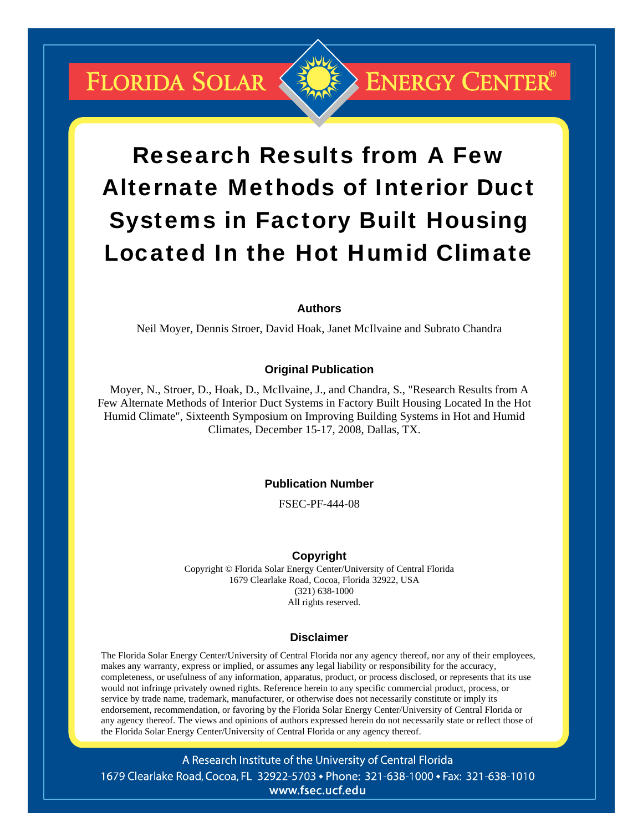## FLORIDA SOLAR



# Research Results from A Few Alternate Methods of Interior Duct Systems in Factory Built Housing Located In the Hot Humid Climate

#### **Authors**

Neil Moyer, Dennis Stroer, David Hoak, Janet McIlvaine and Subrato Chandra

#### **Original Publication**

Moyer, N., Stroer, D., Hoak, D., McIlvaine, J., and Chandra, S., "Research Results from A Few Alternate Methods of Interior Duct Systems in Factory Built Housing Located In the Hot Humid Climate", Sixteenth Symposium on Improving Building Systems in Hot and Humid Climates, December 15-17, 2008, Dallas, TX.

#### **Publication Number**

FSEC-PF-444-08

#### **Copyright**

Copyright © Florida Solar Energy Center/University of Central Florida 1679 Clearlake Road, Cocoa, Florida 32922, USA (321) 638-1000 All rights reserved.

#### **Disclaimer**

The Florida Solar Energy Center/University of Central Florida nor any agency thereof, nor any of their employees, makes any warranty, express or implied, or assumes any legal liability or responsibility for the accuracy, completeness, or usefulness of any information, apparatus, product, or process disclosed, or represents that its use would not infringe privately owned rights. Reference herein to any specific commercial product, process, or service by trade name, trademark, manufacturer, or otherwise does not necessarily constitute or imply its endorsement, recommendation, or favoring by the Florida Solar Energy Center/University of Central Florida or any agency thereof. The views and opinions of authors expressed herein do not necessarily state or reflect those of the Florida Solar Energy Center/University of Central Florida or any agency thereof.

A Research Institute of the University of Central Florida 1679 Clearlake Road, Cocoa, FL 32922-5703 • Phone: 321-638-1000 • Fax: 321-638-1010 www.fsec.ucf.edu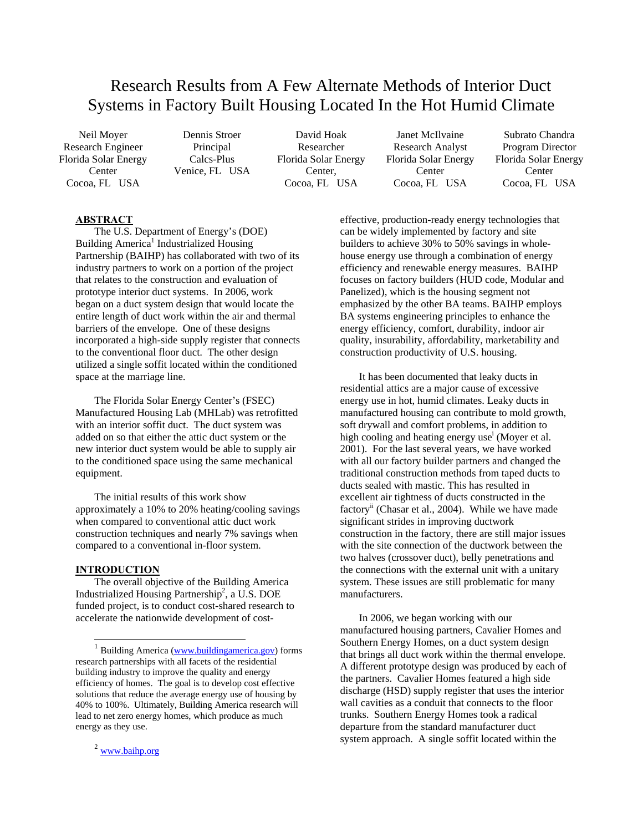### Research Results from A Few Alternate Methods of Interior Duct Systems in Factory Built Housing Located In the Hot Humid Climate

Florida Solar Energy Center Cocoa, FL USA

Calcs-Plus Venice, FL USA

Research Engineer Principal Researcher Research Analyst Program Director Florida Solar Energy Center, Cocoa, FL USA

Neil Moyer Dennis Stroer David Hoak Janet McIlvaine Subrato Chandra Florida Solar Energy Center Cocoa, FL USA

Florida Solar Energy Center Cocoa, FL USA

#### **ABSTRACT**

The U.S. Department of Energy's (DOE) Building America<sup>1</sup> Industrialized Housing Partnership (BAIHP) has collaborated with two of its industry partners to work on a portion of the project that relates to the construction and evaluation of prototype interior duct systems. In 2006, work began on a duct system design that would locate the entire length of duct work within the air and thermal barriers of the envelope. One of these designs incorporated a high-side supply register that connects to the conventional floor duct. The other design utilized a single soffit located within the conditioned space at the marriage line.

The Florida Solar Energy Center's (FSEC) Manufactured Housing Lab (MHLab) was retrofitted with an interior soffit duct. The duct system was added on so that either the attic duct system or the new interior duct system would be able to supply air to the conditioned space using the same mechanical equipment.

The initial results of this work show approximately a 10% to 20% heating/cooling savings when compared to conventional attic duct work construction techniques and nearly 7% savings when compared to a conventional in-floor system.

#### **INTRODUCTION**

 $\overline{a}$ 

The overall objective of the Building America Industrialized Housing Partnership<sup>2</sup>, a U.S. DOE funded project, is to conduct cost-shared research to accelerate the nationwide development of costeffective, production-ready energy technologies that can be widely implemented by factory and site builders to achieve 30% to 50% savings in wholehouse energy use through a combination of energy efficiency and renewable energy measures. BAIHP focuses on factory builders (HUD code, Modular and Panelized), which is the housing segment not emphasized by the other BA teams. BAIHP employs BA systems engineering principles to enhance the energy efficiency, comfort, durability, indoor air quality, insurability, affordability, marketability and construction productivity of U.S. housing.

It has been documented that leaky ducts in residential attics are a major cause of excessive energy use in hot, humid climates. Leaky ducts in manufactured housing can contribute to mold growth, soft drywall and comfort problems, in addition to high cooling and heating energy use<sup>i</sup> (Moyer et al. 2001). For the last several years, we have worked with all our factory builder partners and changed the traditional construction methods from taped ducts to ducts sealed with mastic. This has resulted in excellent air tightness of ducts constructed in the factory<sup>ii</sup> (Chasar et al., 2004). While we have made significant strides in improving ductwork construction in the factory, there are still major issues with the site connection of the ductwork between the two halves (crossover duct), belly penetrations and the connections with the external unit with a unitary system. These issues are still problematic for many manufacturers.

In 2006, we began working with our manufactured housing partners, Cavalier Homes and Southern Energy Homes, on a duct system design that brings all duct work within the thermal envelope. A different prototype design was produced by each of the partners. Cavalier Homes featured a high side discharge (HSD) supply register that uses the interior wall cavities as a conduit that connects to the floor trunks. Southern Energy Homes took a radical departure from the standard manufacturer duct system approach. A single soffit located within the

Building America (www.buildingamerica.gov) forms research partnerships with all facets of the residential building industry to improve the quality and energy efficiency of homes. The goal is to develop cost effective solutions that reduce the average energy use of housing by 40% to 100%. Ultimately, Building America research will lead to net zero energy homes, which produce as much energy as they use.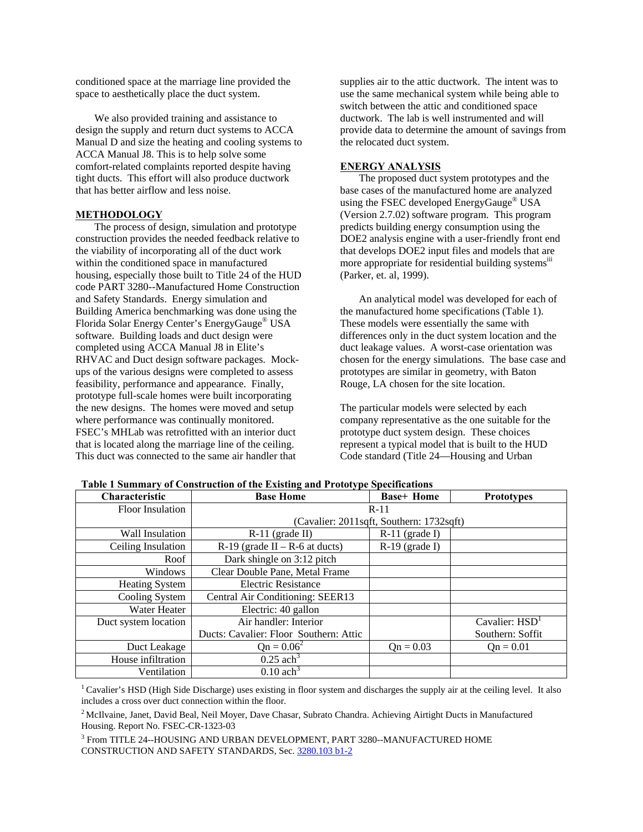conditioned space at the marriage line provided the space to aesthetically place the duct system.

We also provided training and assistance to design the supply and return duct systems to ACCA Manual D and size the heating and cooling systems to ACCA Manual J8. This is to help solve some comfort-related complaints reported despite having tight ducts. This effort will also produce ductwork that has better airflow and less noise.

#### **METHODOLOGY**

The process of design, simulation and prototype construction provides the needed feedback relative to the viability of incorporating all of the duct work within the conditioned space in manufactured housing, especially those built to Title 24 of the HUD code PART 3280--Manufactured Home Construction and Safety Standards. Energy simulation and Building America benchmarking was done using the Florida Solar Energy Center's EnergyGauge® USA software. Building loads and duct design were completed using ACCA Manual J8 in Elite's RHVAC and Duct design software packages. Mockups of the various designs were completed to assess feasibility, performance and appearance. Finally, prototype full-scale homes were built incorporating the new designs. The homes were moved and setup where performance was continually monitored. FSEC's MHLab was retrofitted with an interior duct that is located along the marriage line of the ceiling. This duct was connected to the same air handler that

supplies air to the attic ductwork. The intent was to use the same mechanical system while being able to switch between the attic and conditioned space ductwork. The lab is well instrumented and will provide data to determine the amount of savings from the relocated duct system.

#### **ENERGY ANALYSIS**

The proposed duct system prototypes and the base cases of the manufactured home are analyzed using the FSEC developed EnergyGauge® USA (Version 2.7.02) software program. This program predicts building energy consumption using the DOE2 analysis engine with a user-friendly front end that develops DOE2 input files and models that are more appropriate for residential building systems<sup>iii</sup> (Parker, et. al, 1999).

An analytical model was developed for each of the manufactured home specifications (Table 1). These models were essentially the same with differences only in the duct system location and the duct leakage values. A worst-case orientation was chosen for the energy simulations. The base case and prototypes are similar in geometry, with Baton Rouge, LA chosen for the site location.

The particular models were selected by each company representative as the one suitable for the prototype duct system design. These choices represent a typical model that is built to the HUD Code standard (Title 24—Housing and Urban

| Characteristic          | <b>Base Home</b>                         | <b>Base+ Home</b> | <b>Prototypes</b> |  |
|-------------------------|------------------------------------------|-------------------|-------------------|--|
| <b>Floor</b> Insulation | $R-11$                                   |                   |                   |  |
|                         | (Cavalier: 2011sqft, Southern: 1732sqft) |                   |                   |  |
| Wall Insulation         | $R-11$ (grade II)                        | $R-11$ (grade I)  |                   |  |
| Ceiling Insulation      | $R-19$ (grade II – R-6 at ducts)         | $R-19$ (grade I)  |                   |  |
| Roof                    | Dark shingle on 3:12 pitch               |                   |                   |  |
| Windows                 | Clear Double Pane, Metal Frame           |                   |                   |  |
| <b>Heating System</b>   | <b>Electric Resistance</b>               |                   |                   |  |
| Cooling System          | Central Air Conditioning: SEER13         |                   |                   |  |
| Water Heater            | Electric: 40 gallon                      |                   |                   |  |
| Duct system location    | Air handler: Interior                    |                   | Cavalier: $HSD1$  |  |
|                         | Ducts: Cavalier: Floor Southern: Attic   |                   | Southern: Soffit  |  |
| Duct Leakage            | $Qn = 0.06^2$                            | $Qn = 0.03$       | $On = 0.01$       |  |
| House infiltration      | $0.25$ ach <sup>3</sup>                  |                   |                   |  |
| Ventilation             | $0.10$ ach <sup>3</sup>                  |                   |                   |  |

**Table 1 Summary of Construction of the Existing and Prototype Specifications** 

<sup>1</sup> Cavalier's HSD (High Side Discharge) uses existing in floor system and discharges the supply air at the ceiling level. It also includes a cross over duct connection within the floor.

<sup>2</sup> McIlvaine, Janet, David Beal, Neil Moyer, Dave Chasar, Subrato Chandra. Achieving Airtight Ducts in Manufactured Housing. Report No. FSEC-CR-1323-03

 $^3$  From TITLE 24--HOUSING AND URBAN DEVELOPMENT, PART 3280--MANUFACTURED HOME CONSTRUCTION AND SAFETY STANDARDS, Sec. 3280.103 b1-2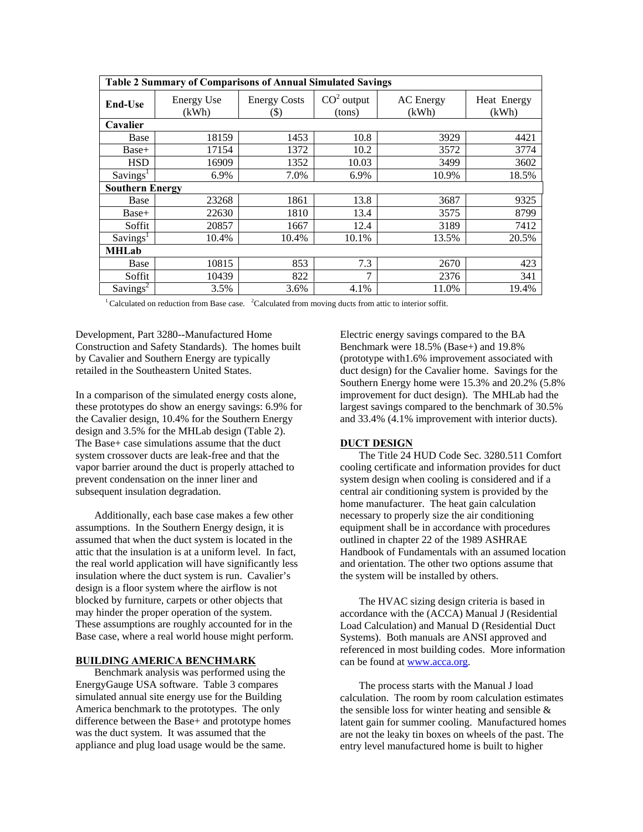| Table 2 Summary of Comparisons of Annual Simulated Savings                                                                    |                            |                             |                        |                           |                      |  |
|-------------------------------------------------------------------------------------------------------------------------------|----------------------------|-----------------------------|------------------------|---------------------------|----------------------|--|
| End-Use                                                                                                                       | <b>Energy Use</b><br>(kWh) | <b>Energy Costs</b><br>(\$) | $CO2$ output<br>(tons) | <b>AC</b> Energy<br>(kWh) | Heat Energy<br>(kWh) |  |
| Cavalier                                                                                                                      |                            |                             |                        |                           |                      |  |
| Base                                                                                                                          | 18159                      | 1453                        | 10.8                   | 3929                      | 4421                 |  |
| Base+                                                                                                                         | 17154                      | 1372                        | 10.2                   | 3572                      | 3774                 |  |
| <b>HSD</b>                                                                                                                    | 16909                      | 1352                        | 10.03                  | 3499                      | 3602                 |  |
| Savings <sup>1</sup>                                                                                                          | 6.9%                       | 7.0%                        | 6.9%                   | 10.9%                     | 18.5%                |  |
| <b>Southern Energy</b>                                                                                                        |                            |                             |                        |                           |                      |  |
| Base                                                                                                                          | 23268                      | 1861                        | 13.8                   | 3687                      | 9325                 |  |
| Base+                                                                                                                         | 22630                      | 1810                        | 13.4                   | 3575                      | 8799                 |  |
| Soffit                                                                                                                        | 20857                      | 1667                        | 12.4                   | 3189                      | 7412                 |  |
| Savings <sup>1</sup>                                                                                                          | 10.4%                      | 10.4%                       | 10.1%                  | 13.5%                     | 20.5%                |  |
| <b>MHLab</b>                                                                                                                  |                            |                             |                        |                           |                      |  |
| Base                                                                                                                          | 10815                      | 853                         | 7.3                    | 2670                      | 423                  |  |
| Soffit                                                                                                                        | 10439                      | 822                         | 7                      | 2376                      | 341                  |  |
| Savings <sup>2</sup>                                                                                                          | 3.5%                       | 3.6%                        | 4.1%                   | 11.0%                     | 19.4%                |  |
| <sup>1</sup> Calculated on reduction from Base case. <sup>2</sup> Calculated from moving ducts from attic to interior soffit. |                            |                             |                        |                           |                      |  |

Development, Part 3280--Manufactured Home Construction and Safety Standards). The homes built by Cavalier and Southern Energy are typically retailed in the Southeastern United States.

In a comparison of the simulated energy costs alone, these prototypes do show an energy savings: 6.9% for the Cavalier design, 10.4% for the Southern Energy design and 3.5% for the MHLab design (Table 2). The Base+ case simulations assume that the duct system crossover ducts are leak-free and that the vapor barrier around the duct is properly attached to prevent condensation on the inner liner and subsequent insulation degradation.

Additionally, each base case makes a few other assumptions. In the Southern Energy design, it is assumed that when the duct system is located in the attic that the insulation is at a uniform level. In fact, the real world application will have significantly less insulation where the duct system is run. Cavalier's design is a floor system where the airflow is not blocked by furniture, carpets or other objects that may hinder the proper operation of the system. These assumptions are roughly accounted for in the Base case, where a real world house might perform.

#### **BUILDING AMERICA BENCHMARK**

Benchmark analysis was performed using the EnergyGauge USA software. Table 3 compares simulated annual site energy use for the Building America benchmark to the prototypes. The only difference between the Base+ and prototype homes was the duct system. It was assumed that the appliance and plug load usage would be the same.

Electric energy savings compared to the BA Benchmark were 18.5% (Base+) and 19.8% (prototype with1.6% improvement associated with duct design) for the Cavalier home. Savings for the Southern Energy home were 15.3% and 20.2% (5.8% improvement for duct design). The MHLab had the largest savings compared to the benchmark of 30.5% and 33.4% (4.1% improvement with interior ducts).

#### **DUCT DESIGN**

The Title 24 HUD Code Sec. 3280.511 Comfort cooling certificate and information provides for duct system design when cooling is considered and if a central air conditioning system is provided by the home manufacturer. The heat gain calculation necessary to properly size the air conditioning equipment shall be in accordance with procedures outlined in chapter 22 of the 1989 ASHRAE Handbook of Fundamentals with an assumed location and orientation. The other two options assume that the system will be installed by others.

The HVAC sizing design criteria is based in accordance with the (ACCA) Manual J (Residential Load Calculation) and Manual D (Residential Duct Systems). Both manuals are ANSI approved and referenced in most building codes. More information can be found at www.acca.org.

The process starts with the Manual J load calculation. The room by room calculation estimates the sensible loss for winter heating and sensible  $\&$ latent gain for summer cooling. Manufactured homes are not the leaky tin boxes on wheels of the past. The entry level manufactured home is built to higher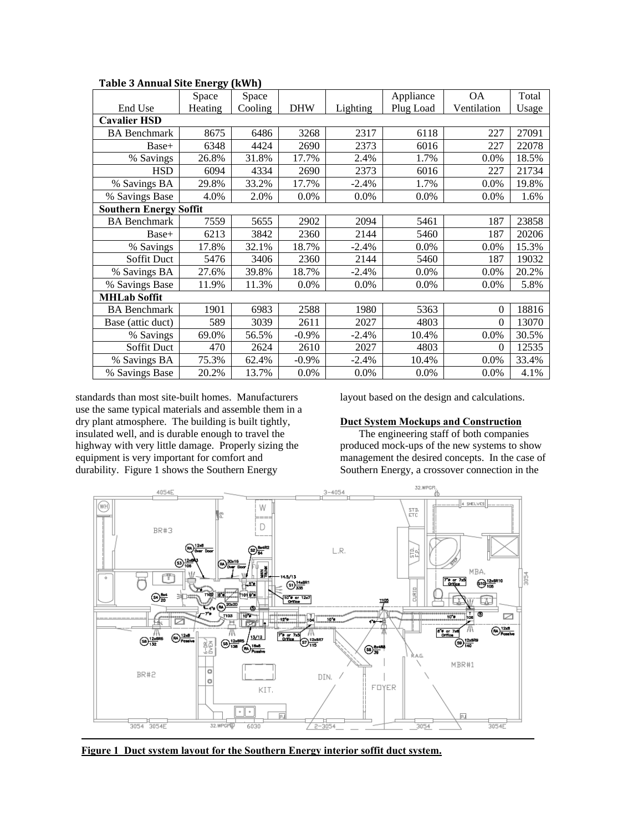| rapic $\sigma$ minuar one energy (KWH) |         |         |            |          |           |             |       |
|----------------------------------------|---------|---------|------------|----------|-----------|-------------|-------|
|                                        | Space   | Space   |            |          | Appliance | <b>OA</b>   | Total |
| End Use                                | Heating | Cooling | <b>DHW</b> | Lighting | Plug Load | Ventilation | Usage |
| <b>Cavalier HSD</b>                    |         |         |            |          |           |             |       |
| <b>BA</b> Benchmark                    | 8675    | 6486    | 3268       | 2317     | 6118      | 227         | 27091 |
| Base+                                  | 6348    | 4424    | 2690       | 2373     | 6016      | 227         | 22078 |
| % Savings                              | 26.8%   | 31.8%   | 17.7%      | 2.4%     | 1.7%      | $0.0\%$     | 18.5% |
| <b>HSD</b>                             | 6094    | 4334    | 2690       | 2373     | 6016      | 227         | 21734 |
| % Savings BA                           | 29.8%   | 33.2%   | 17.7%      | $-2.4%$  | 1.7%      | 0.0%        | 19.8% |
| % Savings Base                         | 4.0%    | 2.0%    | 0.0%       | 0.0%     | 0.0%      | 0.0%        | 1.6%  |
| <b>Southern Energy Soffit</b>          |         |         |            |          |           |             |       |
| <b>BA</b> Benchmark                    | 7559    | 5655    | 2902       | 2094     | 5461      | 187         | 23858 |
| Base+                                  | 6213    | 3842    | 2360       | 2144     | 5460      | 187         | 20206 |
| % Savings                              | 17.8%   | 32.1%   | 18.7%      | $-2.4%$  | $0.0\%$   | 0.0%        | 15.3% |
| Soffit Duct                            | 5476    | 3406    | 2360       | 2144     | 5460      | 187         | 19032 |
| % Savings BA                           | 27.6%   | 39.8%   | 18.7%      | $-2.4%$  | 0.0%      | 0.0%        | 20.2% |
| % Savings Base                         | 11.9%   | 11.3%   | 0.0%       | 0.0%     | 0.0%      | 0.0%        | 5.8%  |
| <b>MHLab Soffit</b>                    |         |         |            |          |           |             |       |
| <b>BA</b> Benchmark                    | 1901    | 6983    | 2588       | 1980     | 5363      | $\Omega$    | 18816 |
| Base (attic duct)                      | 589     | 3039    | 2611       | 2027     | 4803      | $\Omega$    | 13070 |
| % Savings                              | 69.0%   | 56.5%   | $-0.9\%$   | $-2.4%$  | 10.4%     | 0.0%        | 30.5% |
| Soffit Duct                            | 470     | 2624    | 2610       | 2027     | 4803      | $\Omega$    | 12535 |
| % Savings BA                           | 75.3%   | 62.4%   | $-0.9%$    | $-2.4%$  | 10.4%     | 0.0%        | 33.4% |
| % Savings Base                         | 20.2%   | 13.7%   | 0.0%       | 0.0%     | 0.0%      | 0.0%        | 4.1%  |

**Table 3 Annual Site Energy (kWh)**

standards than most site-built homes. Manufacturers use the same typical materials and assemble them in a dry plant atmosphere. The building is built tightly, insulated well, and is durable enough to travel the highway with very little damage. Properly sizing the equipment is very important for comfort and durability. Figure 1 shows the Southern Energy

layout based on the design and calculations.

#### **Duct System Mockups and Construction**

The engineering staff of both companies produced mock-ups of the new systems to show management the desired concepts. In the case of Southern Energy, a crossover connection in the



**Figure 1 Duct system layout for the Southern Energy interior soffit duct system.**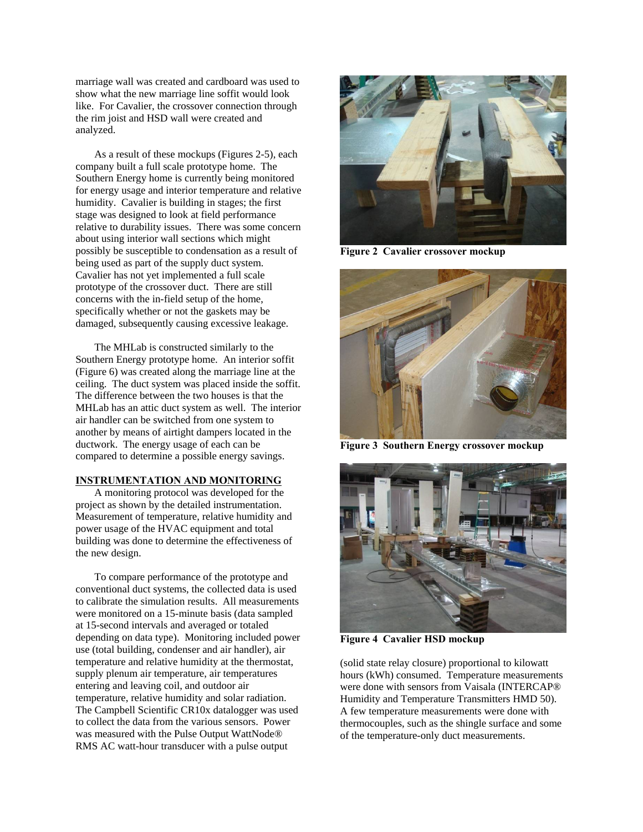marriage wall was created and cardboard was used to show what the new marriage line soffit would look like. For Cavalier, the crossover connection through the rim joist and HSD wall were created and analyzed.

As a result of these mockups (Figures 2-5), each company built a full scale prototype home. The Southern Energy home is currently being monitored for energy usage and interior temperature and relative humidity. Cavalier is building in stages; the first stage was designed to look at field performance relative to durability issues. There was some concern about using interior wall sections which might possibly be susceptible to condensation as a result of being used as part of the supply duct system. Cavalier has not yet implemented a full scale prototype of the crossover duct. There are still concerns with the in-field setup of the home, specifically whether or not the gaskets may be damaged, subsequently causing excessive leakage.

The MHLab is constructed similarly to the Southern Energy prototype home. An interior soffit (Figure 6) was created along the marriage line at the ceiling. The duct system was placed inside the soffit. The difference between the two houses is that the MHLab has an attic duct system as well. The interior air handler can be switched from one system to another by means of airtight dampers located in the ductwork. The energy usage of each can be compared to determine a possible energy savings.

#### **INSTRUMENTATION AND MONITORING**

A monitoring protocol was developed for the project as shown by the detailed instrumentation. Measurement of temperature, relative humidity and power usage of the HVAC equipment and total building was done to determine the effectiveness of the new design.

To compare performance of the prototype and conventional duct systems, the collected data is used to calibrate the simulation results. All measurements were monitored on a 15-minute basis (data sampled at 15-second intervals and averaged or totaled depending on data type). Monitoring included power use (total building, condenser and air handler), air temperature and relative humidity at the thermostat, supply plenum air temperature, air temperatures entering and leaving coil, and outdoor air temperature, relative humidity and solar radiation. The Campbell Scientific CR10x datalogger was used to collect the data from the various sensors. Power was measured with the Pulse Output WattNode® RMS AC watt-hour transducer with a pulse output



**Figure 2 Cavalier crossover mockup** 



**Figure 3 Southern Energy crossover mockup** 



**Figure 4 Cavalier HSD mockup** 

(solid state relay closure) proportional to kilowatt hours (kWh) consumed. Temperature measurements were done with sensors from Vaisala (INTERCAP® Humidity and Temperature Transmitters HMD 50). A few temperature measurements were done with thermocouples, such as the shingle surface and some of the temperature-only duct measurements.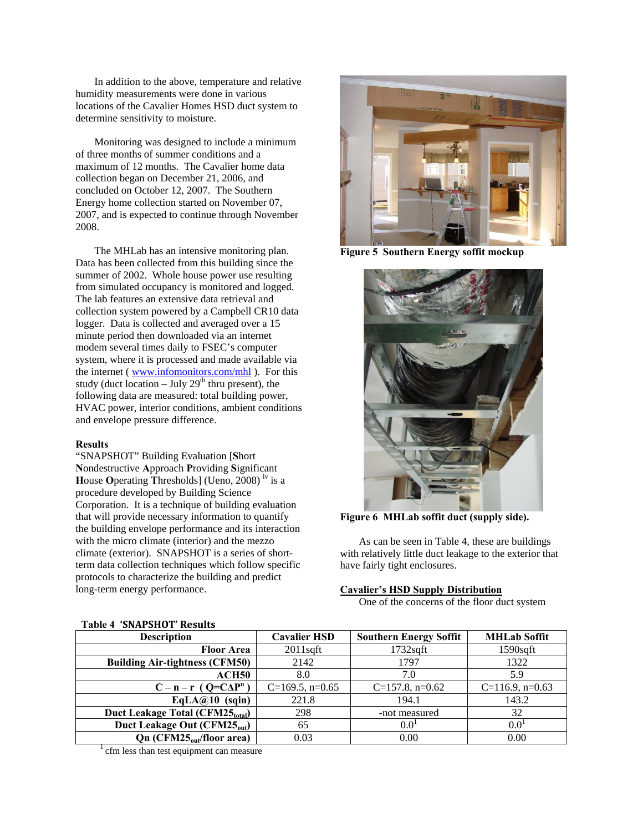In addition to the above, temperature and relative humidity measurements were done in various locations of the Cavalier Homes HSD duct system to determine sensitivity to moisture.

Monitoring was designed to include a minimum of three months of summer conditions and a maximum of 12 months. The Cavalier home data collection began on December 21, 2006, and concluded on October 12, 2007. The Southern Energy home collection started on November 07, 2007, and is expected to continue through November 2008.

The MHLab has an intensive monitoring plan. Data has been collected from this building since the summer of 2002. Whole house power use resulting from simulated occupancy is monitored and logged. The lab features an extensive data retrieval and collection system powered by a Campbell CR10 data logger. Data is collected and averaged over a 15 minute period then downloaded via an internet modem several times daily to FSEC's computer system, where it is processed and made available via the internet ( www.infomonitors.com/mhl ). For this study (duct location – July  $29<sup>th</sup>$  thru present), the following data are measured: total building power, HVAC power, interior conditions, ambient conditions and envelope pressure difference.

#### **Results**

"SNAPSHOT" Building Evaluation [**S**hort **N**ondestructive **A**pproach **P**roviding **S**ignificant **H**ouse **O**perating **T**hresholds] (Ueno, 2008) iv is a procedure developed by Building Science Corporation. It is a technique of building evaluation that will provide necessary information to quantify the building envelope performance and its interaction with the micro climate (interior) and the mezzo climate (exterior). SNAPSHOT is a series of shortterm data collection techniques which follow specific protocols to characterize the building and predict long-term energy performance.



**Figure 5 Southern Energy soffit mockup** 



**Figure 6 MHLab soffit duct (supply side).** 

As can be seen in Table 4, these are buildings with relatively little duct leakage to the exterior that have fairly tight enclosures.

#### **Cavalier's HSD Supply Distribution**

One of the concerns of the floor duct system

| <b>Description</b>                           | <b>Cavalier HSD</b> | <b>Southern Energy Soffit</b> | <b>MHLab Soffit</b> |
|----------------------------------------------|---------------------|-------------------------------|---------------------|
| <b>Floor Area</b>                            | $2011$ sqft         | $1732$ sqft                   | $1590$ sqft         |
| <b>Building Air-tightness (CFM50)</b>        | 2142                | 1797                          | 1322                |
| ACH50                                        | 8.0                 | 7.0                           | 5.9                 |
| $C - n - r$ (Q=C $\Delta P^n$ )              | $C=169.5$ , n=0.65  | $C=157.8$ , n=0.62            | $C=116.9$ , n=0.63  |
| $EqLA@10$ (sqin)                             | 221.8               | 194.1                         | 143.2               |
| Duct Leakage Total (CFM25 <sub>total</sub> ) | 298                 | -not measured                 | 32                  |
| Duct Leakage Out (CFM25 <sub>out</sub> )     | 65                  | $0.0^{1}$                     | $0.0^{1}$           |
| Qn (CFM25 <sub>out</sub> /floor area)        | 0.03                | 0.00                          | 0.00                |

#### **Table 4 'SNAPSHOT' Results**

<sup>1</sup> cfm less than test equipment can measure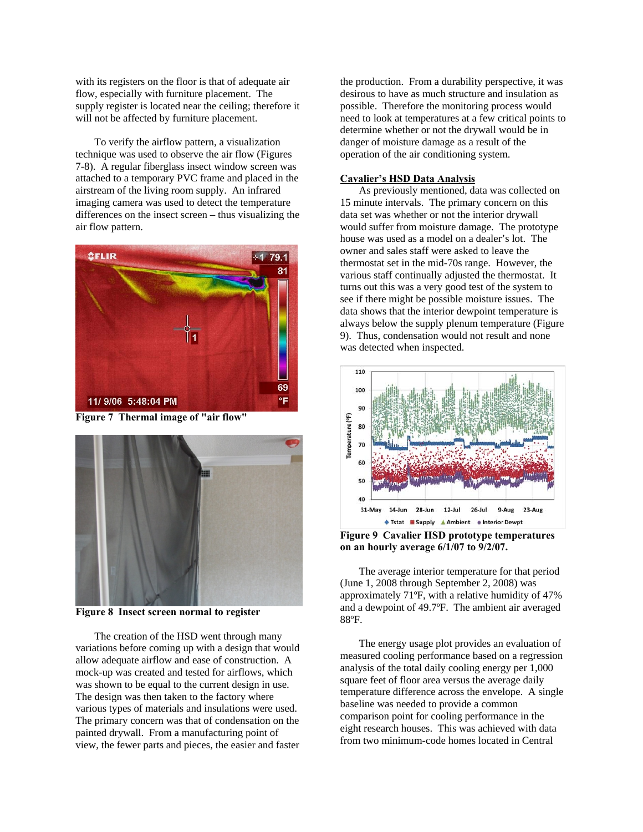with its registers on the floor is that of adequate air flow, especially with furniture placement. The supply register is located near the ceiling; therefore it will not be affected by furniture placement.

To verify the airflow pattern, a visualization technique was used to observe the air flow (Figures 7-8). A regular fiberglass insect window screen was attached to a temporary PVC frame and placed in the airstream of the living room supply. An infrared imaging camera was used to detect the temperature differences on the insect screen – thus visualizing the air flow pattern.



**Figure 7 Thermal image of "air flow"** 



**Figure 8 Insect screen normal to register** 

The creation of the HSD went through many variations before coming up with a design that would allow adequate airflow and ease of construction. A mock-up was created and tested for airflows, which was shown to be equal to the current design in use. The design was then taken to the factory where various types of materials and insulations were used. The primary concern was that of condensation on the painted drywall. From a manufacturing point of view, the fewer parts and pieces, the easier and faster

the production. From a durability perspective, it was desirous to have as much structure and insulation as possible. Therefore the monitoring process would need to look at temperatures at a few critical points to determine whether or not the drywall would be in danger of moisture damage as a result of the operation of the air conditioning system.

#### **Cavalier's HSD Data Analysis**

As previously mentioned, data was collected on 15 minute intervals. The primary concern on this data set was whether or not the interior drywall would suffer from moisture damage. The prototype house was used as a model on a dealer's lot. The owner and sales staff were asked to leave the thermostat set in the mid-70s range. However, the various staff continually adjusted the thermostat. It turns out this was a very good test of the system to see if there might be possible moisture issues. The data shows that the interior dewpoint temperature is always below the supply plenum temperature (Figure 9). Thus, condensation would not result and none was detected when inspected.



**Figure 9 Cavalier HSD prototype temperatures on an hourly average 6/1/07 to 9/2/07.** 

The average interior temperature for that period (June 1, 2008 through September 2, 2008) was approximately 71ºF, with a relative humidity of 47% and a dewpoint of 49.7ºF. The ambient air averaged 88ºF.

The energy usage plot provides an evaluation of measured cooling performance based on a regression analysis of the total daily cooling energy per 1,000 square feet of floor area versus the average daily temperature difference across the envelope. A single baseline was needed to provide a common comparison point for cooling performance in the eight research houses. This was achieved with data from two minimum-code homes located in Central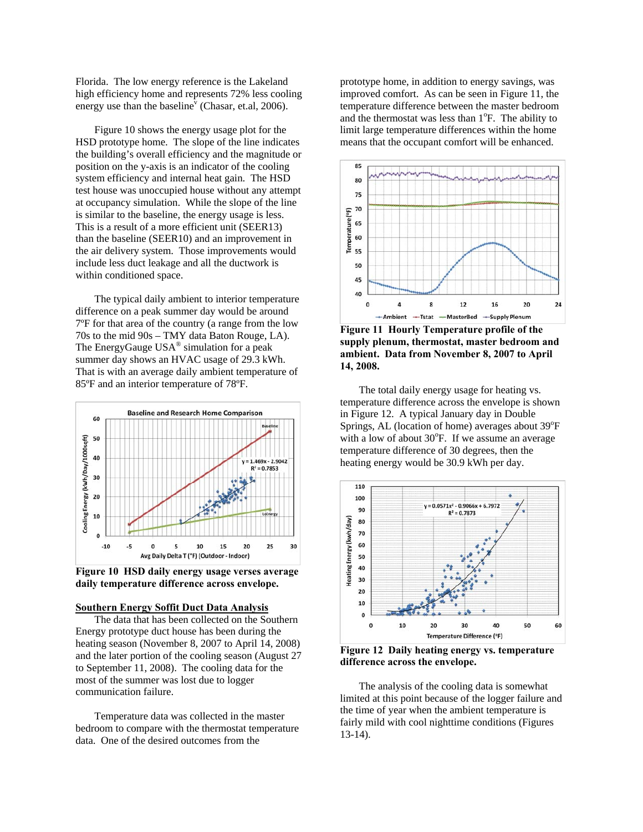Florida. The low energy reference is the Lakeland high efficiency home and represents 72% less cooling energy use than the baseline<sup>v</sup> (Chasar, et.al, 2006).

Figure 10 shows the energy usage plot for the HSD prototype home. The slope of the line indicates the building's overall efficiency and the magnitude or position on the y-axis is an indicator of the cooling system efficiency and internal heat gain. The HSD test house was unoccupied house without any attempt at occupancy simulation. While the slope of the line is similar to the baseline, the energy usage is less. This is a result of a more efficient unit (SEER13) than the baseline (SEER10) and an improvement in the air delivery system. Those improvements would include less duct leakage and all the ductwork is within conditioned space.

The typical daily ambient to interior temperature difference on a peak summer day would be around 7ºF for that area of the country (a range from the low 70s to the mid 90s – TMY data Baton Rouge, LA). The EnergyGauge USA<sup>®</sup> simulation for a peak summer day shows an HVAC usage of 29.3 kWh. That is with an average daily ambient temperature of 85ºF and an interior temperature of 78ºF.



**Figure 10 HSD daily energy usage verses average daily temperature difference across envelope.** 

#### **Southern Energy Soffit Duct Data Analysis**

The data that has been collected on the Southern Energy prototype duct house has been during the heating season (November 8, 2007 to April 14, 2008) and the later portion of the cooling season (August 27 to September 11, 2008). The cooling data for the most of the summer was lost due to logger communication failure.

Temperature data was collected in the master bedroom to compare with the thermostat temperature data. One of the desired outcomes from the

prototype home, in addition to energy savings, was improved comfort. As can be seen in Figure 11, the temperature difference between the master bedroom and the thermostat was less than 1<sup>o</sup>F. The ability to limit large temperature differences within the home means that the occupant comfort will be enhanced.



**Figure 11 Hourly Temperature profile of the supply plenum, thermostat, master bedroom and ambient. Data from November 8, 2007 to April 14, 2008.** 

The total daily energy usage for heating vs. temperature difference across the envelope is shown in Figure 12. A typical January day in Double Springs, AL (location of home) averages about 39°F with a low of about  $30^{\circ}$ F. If we assume an average temperature difference of 30 degrees, then the heating energy would be 30.9 kWh per day.



**Figure 12 Daily heating energy vs. temperature difference across the envelope.** 

The analysis of the cooling data is somewhat limited at this point because of the logger failure and the time of year when the ambient temperature is fairly mild with cool nighttime conditions (Figures 13-14).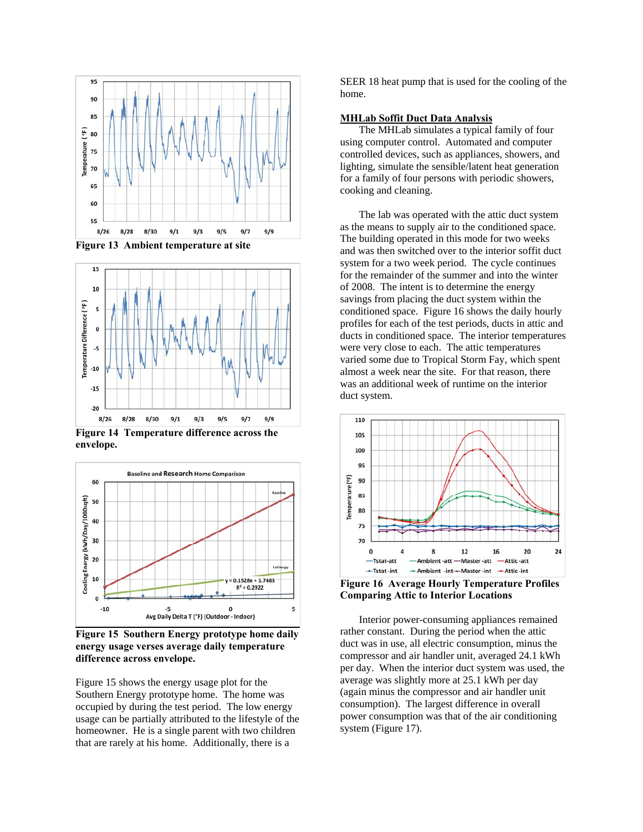

**Figure 13 Ambient temperature at site** 



**envelope.** 



**Figure 15 Southern Energy prototype home daily energy usage verses average daily temperature difference across envelope.** 

Figure 15 shows the energy usage plot for the Southern Energy prototype home. The home was occupied by during the test period. The low energy usage can be partially attributed to the lifestyle of the homeowner. He is a single parent with two children that are rarely at his home. Additionally, there is a

SEER 18 heat pump that is used for the cooling of the home.

#### **MHLab Soffit Duct Data Analysis**

The MHLab simulates a typical family of four using computer control. Automated and computer controlled devices, such as appliances, showers, and lighting, simulate the sensible/latent heat generation for a family of four persons with periodic showers, cooking and cleaning.

The lab was operated with the attic duct system as the means to supply air to the conditioned space. The building operated in this mode for two weeks and was then switched over to the interior soffit duct system for a two week period. The cycle continues for the remainder of the summer and into the winter of 2008. The intent is to determine the energy savings from placing the duct system within the conditioned space. Figure 16 shows the daily hourly profiles for each of the test periods, ducts in attic and ducts in conditioned space. The interior temperatures were very close to each. The attic temperatures varied some due to Tropical Storm Fay, which spent almost a week near the site. For that reason, there was an additional week of runtime on the interior duct system.



**Figure 16 Average Hourly Temperature Profiles Comparing Attic to Interior Locations** 

Interior power-consuming appliances remained rather constant. During the period when the attic duct was in use, all electric consumption, minus the compressor and air handler unit, averaged 24.1 kWh per day. When the interior duct system was used, the average was slightly more at 25.1 kWh per day (again minus the compressor and air handler unit consumption). The largest difference in overall power consumption was that of the air conditioning system (Figure 17).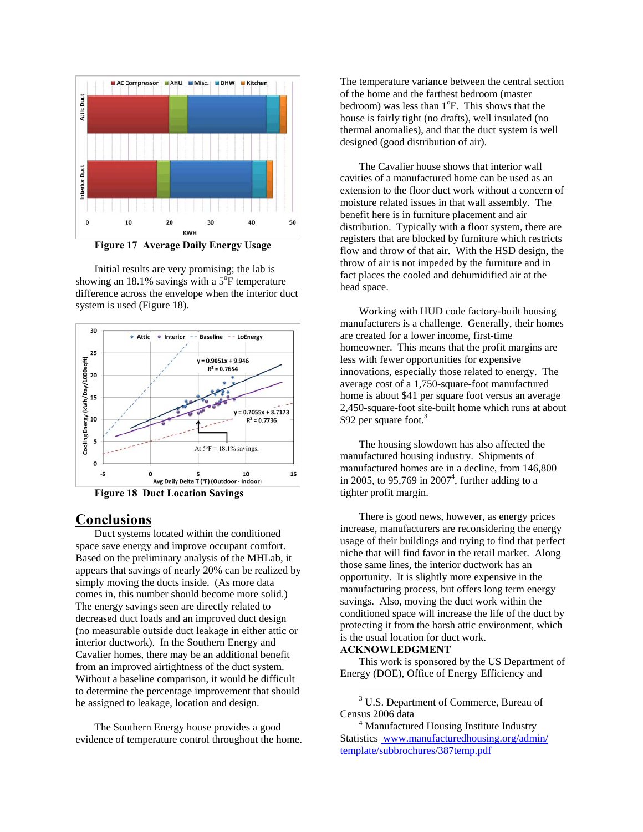

**Figure 17 Average Daily Energy Usage** 

Initial results are very promising; the lab is showing an 18.1% savings with a  $5^{\circ}$ F temperature difference across the envelope when the interior duct system is used (Figure 18).



**Figure 18 Duct Location Savings** 

#### **Conclusions**

Duct systems located within the conditioned space save energy and improve occupant comfort. Based on the preliminary analysis of the MHLab, it appears that savings of nearly 20% can be realized by simply moving the ducts inside. (As more data comes in, this number should become more solid.) The energy savings seen are directly related to decreased duct loads and an improved duct design (no measurable outside duct leakage in either attic or interior ductwork). In the Southern Energy and Cavalier homes, there may be an additional benefit from an improved airtightness of the duct system. Without a baseline comparison, it would be difficult to determine the percentage improvement that should be assigned to leakage, location and design.

The Southern Energy house provides a good evidence of temperature control throughout the home.

The temperature variance between the central section of the home and the farthest bedroom (master bedroom) was less than  $1^{\circ}$ F. This shows that the house is fairly tight (no drafts), well insulated (no thermal anomalies), and that the duct system is well designed (good distribution of air).

The Cavalier house shows that interior wall cavities of a manufactured home can be used as an extension to the floor duct work without a concern of moisture related issues in that wall assembly. The benefit here is in furniture placement and air distribution. Typically with a floor system, there are registers that are blocked by furniture which restricts flow and throw of that air. With the HSD design, the throw of air is not impeded by the furniture and in fact places the cooled and dehumidified air at the head space.

Working with HUD code factory-built housing manufacturers is a challenge. Generally, their homes are created for a lower income, first-time homeowner. This means that the profit margins are less with fewer opportunities for expensive innovations, especially those related to energy. The average cost of a 1,750-square-foot manufactured home is about \$41 per square foot versus an average 2,450-square-foot site-built home which runs at about \$92 per square foot.<sup>3</sup>

The housing slowdown has also affected the manufactured housing industry. Shipments of manufactured homes are in a decline, from 146,800 in 2005, to 95,769 in  $2007<sup>4</sup>$ , further adding to a tighter profit margin.

There is good news, however, as energy prices increase, manufacturers are reconsidering the energy usage of their buildings and trying to find that perfect niche that will find favor in the retail market. Along those same lines, the interior ductwork has an opportunity. It is slightly more expensive in the manufacturing process, but offers long term energy savings. Also, moving the duct work within the conditioned space will increase the life of the duct by protecting it from the harsh attic environment, which is the usual location for duct work.

#### **ACKNOWLEDGMENT**

 $\overline{a}$ 

This work is sponsored by the US Department of Energy (DOE), Office of Energy Efficiency and

<sup>3</sup> U.S. Department of Commerce, Bureau of Census 2006 data

<sup>&</sup>lt;sup>4</sup> Manufactured Housing Institute Industry Statistics www.manufacturedhousing.org/admin/ template/subbrochures/387temp.pdf